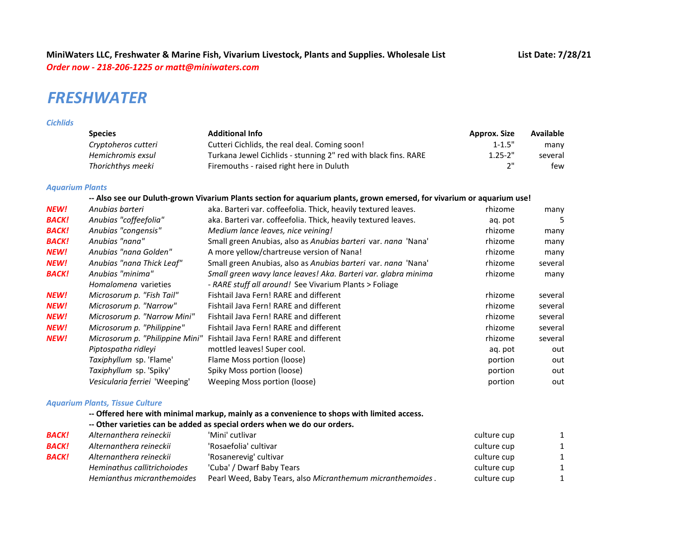# *FRESHWATER*

#### *Cichlids*

| <b>Species</b>      | <b>Additional Info</b>                                         | <b>Approx. Size</b> | <b>Available</b> |
|---------------------|----------------------------------------------------------------|---------------------|------------------|
| Cryptoheros cutteri | Cutteri Cichlids, the real deal. Coming soon!                  | $1 - 1.5"$          | many             |
| Hemichromis exsul   | Turkana Jewel Cichlids - stunning 2" red with black fins. RARE | $1.25 - 2"$         | several          |
| Thorichthys meeki   | Firemouths - raised right here in Duluth                       | ייר                 | few              |

## *Aquarium Plants*

### **-- Also see our Duluth-grown Vivarium Plants section for aquarium plants, grown emersed, for vivarium or aquarium use!**

| <b>NEW!</b>  | Anubias barteri                 | aka. Barteri var. coffeefolia. Thick, heavily textured leaves. | rhizome | many    |
|--------------|---------------------------------|----------------------------------------------------------------|---------|---------|
| <b>BACK!</b> | Anubias "coffeefolia"           | aka. Barteri var. coffeefolia. Thick, heavily textured leaves. | ag. pot | 5       |
| <b>BACK!</b> | Anubias "congensis"             | Medium lance leaves, nice veining!                             | rhizome | many    |
| <b>BACK!</b> | Anubias "nana"                  | Small green Anubias, also as Anubias barteri var. nana 'Nana'  | rhizome | many    |
| NEW!         | Anubias "nana Golden"           | A more yellow/chartreuse version of Nana!                      | rhizome | many    |
| <b>NEW!</b>  | Anubias "nana Thick Leaf"       | Small green Anubias, also as Anubias barteri var. nana 'Nana'  | rhizome | several |
| <b>BACK!</b> | Anubias "minima"                | Small green wavy lance leaves! Aka. Barteri var. glabra minima | rhizome | many    |
|              | Homalomena varieties            | - RARE stuff all around! See Vivarium Plants > Foliage         |         |         |
| <b>NEW!</b>  | Microsorum p. "Fish Tail"       | Fishtail Java Fern! RARE and different                         | rhizome | several |
| <b>NEW!</b>  | Microsorum p. "Narrow"          | Fishtail Java Fern! RARE and different                         | rhizome | several |
| NEW!         | Microsorum p. "Narrow Mini"     | Fishtail Java Fern! RARE and different                         | rhizome | several |
| <b>NEW!</b>  | Microsorum p. "Philippine"      | Fishtail Java Fern! RARE and different                         | rhizome | several |
| <b>NEW!</b>  | Microsorum p. "Philippine Mini" | Fishtail Java Fern! RARE and different                         | rhizome | several |
|              | Piptospatha ridleyi             | mottled leaves! Super cool.                                    | aq. pot | out     |
|              | Taxiphyllum sp. 'Flame'         | Flame Moss portion (loose)                                     | portion | out     |
|              | Taxiphyllum sp. 'Spiky'         | Spiky Moss portion (loose)                                     | portion | out     |
|              | Vesicularia ferriei 'Weeping'   | Weeping Moss portion (loose)                                   | portion | out     |
|              |                                 |                                                                |         |         |

### *Aquarium Plants, Tissue Culture*

## **-- Offered here with minimal markup, mainly as a convenience to shops with limited access.**

### **-- Other varieties can be added as special orders when we do our orders.**

| <b>BACK!</b> | Alternanthera reineckii     | 'Mini' cutlivar                                            | culture cup |  |
|--------------|-----------------------------|------------------------------------------------------------|-------------|--|
| <b>BACK!</b> | Alternanthera reineckii     | 'Rosaefolia' cultivar                                      | culture cup |  |
| <b>BACK!</b> | Alternanthera reineckii     | 'Rosanerevig' cultivar                                     | culture cup |  |
|              | Heminathus callitrichoiodes | 'Cuba' / Dwarf Baby Tears                                  | culture cup |  |
|              | Hemianthus micranthemoides  | Pearl Weed, Baby Tears, also Micranthemum micranthemoides. | culture cup |  |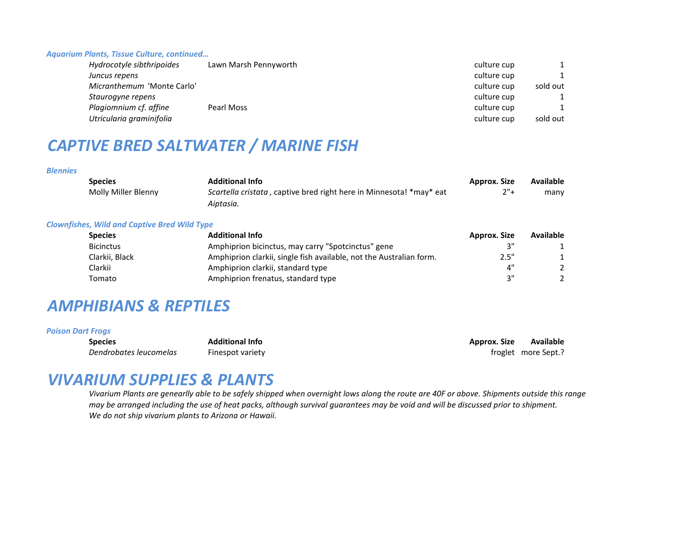#### *Aquarium Plants, Tissue Culture, continued…*

| Hydrocotyle sibthripoides  | Lawn Marsh Pennyworth | culture cup |          |
|----------------------------|-----------------------|-------------|----------|
| Juncus repens              |                       | culture cup |          |
| Micranthemum 'Monte Carlo' |                       | culture cup | sold out |
| Staurogyne repens          |                       | culture cup |          |
| Plagiomnium cf. affine     | Pearl Moss            | culture cup |          |
| Utricularia graminifolia   |                       | culture cup | sold out |

# *CAPTIVE BRED SALTWATER / MARINE FISH*

#### *Blennies*

| <b>Species</b>      | <b>Additional Info</b>                                                | Approx. Size | <b>Available</b> |
|---------------------|-----------------------------------------------------------------------|--------------|------------------|
| Molly Miller Blenny | Scartella cristata, captive bred right here in Minnesota! * may * eat | 2"+          | many             |
|                     | Aiptasia.                                                             |              |                  |
|                     |                                                                       |              |                  |

#### *Clownfishes, Wild and Captive Bred Wild Type*

| <b>Species</b>   | <b>Additional Info</b>                                              | Approx. Size | <b>Available</b> |
|------------------|---------------------------------------------------------------------|--------------|------------------|
| <b>Bicinctus</b> | Amphiprion bicinctus, may carry "Spotcinctus" gene                  |              |                  |
| Clarkii, Black   | Amphiprion clarkii, single fish available, not the Australian form. | 2.5"         |                  |
| Clarkii          | Amphiprion clarkii, standard type                                   | 4"           |                  |
| Tomato           | Amphiprion frenatus, standard type                                  | יי 2         |                  |

# *AMPHIBIANS & REPTILES*

### *Poison Dart Frogs*

**Species Additional Info Approx. Size Available Dendrobates leucomelas** Finespot variety **Finespot variety Finespot variety Finespot variety Finespot variety Finespot variety Finespot variety Finespot variety Finespot variety Finespot variety Finespot** 

# *VIVARIUM SUPPLIES & PLANTS*

*Vivarium Plants are genearlly able to be safely shipped when overnight lows along the route are 40F or above. Shipments outside this range may be arranged including the use of heat packs, although survival guarantees may be void and will be discussed prior to shipment. We do not ship vivarium plants to Arizona or Hawaii.*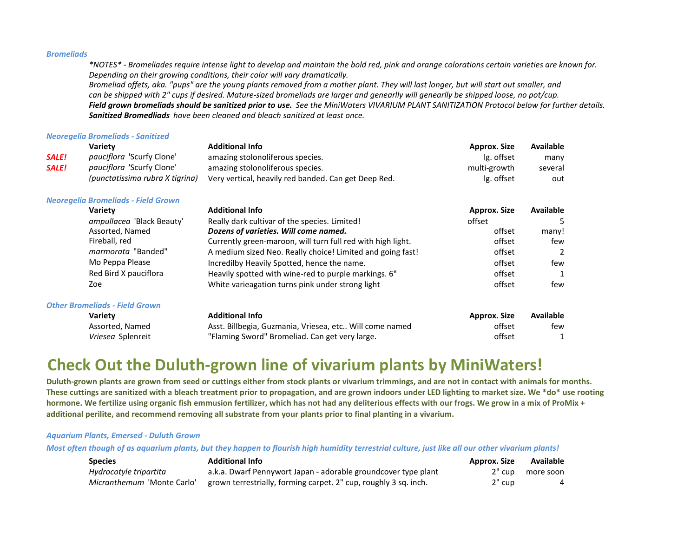#### *Bromeliads*

*\*NOTES\* - Bromeliades require intense light to develop and maintain the bold red, pink and orange colorations certain varieties are known for. Depending on their growing conditions, their color will vary dramatically.* 

*Bromeliad offets, aka. "pups" are the young plants removed from a mother plant. They will last longer, but will start out smaller, and can be shipped with 2" cups if desired. Mature-sized bromeliads are larger and genearlly will genearlly be shipped loose, no pot/cup. Field grown bromeliads should be sanitized prior to use. See the MiniWaters VIVARIUM PLANT SANITIZATION Protocol below for further details. Sanitized Bromedliads have been cleaned and bleach sanitized at least once.*

#### *Neoregelia Bromeliads - Sanitized*

|              | Variety                          | <b>Additional Info</b>                               | <b>Approx. Size</b> | Available |
|--------------|----------------------------------|------------------------------------------------------|---------------------|-----------|
| <b>SALE!</b> | pauciflora 'Scurfy Clone'        | amazing stolonoliferous species.                     | lg. offset          | many      |
| <b>SALE!</b> | <i>pauciflora</i> 'Scurfy Clone' | amazing stolonoliferous species.                     | multi-growth        | several   |
|              | (punctatissima rubra X tigrina)  | Very vertical, heavily red banded. Can get Deep Red. | lg. offset          | out       |
|              |                                  |                                                      |                     |           |

#### *Neoregelia Bromeliads - Field Grown*

| <b>Variety</b>                        | <b>Additional Info</b>                                      | <b>Approx. Size</b> | Available        |
|---------------------------------------|-------------------------------------------------------------|---------------------|------------------|
| ampullacea 'Black Beauty'             | Really dark cultivar of the species. Limited!               | offset              | 5                |
| Assorted, Named                       | Dozens of varieties. Will come named.                       | offset              | many!            |
| Fireball, red                         | Currently green-maroon, will turn full red with high light. | offset              | few              |
| marmorata "Banded"                    | A medium sized Neo. Really choice! Limited and going fast!  | offset              | 2                |
| Mo Peppa Please                       | Incredilby Heavily Spotted, hence the name.                 | offset              | few              |
| Red Bird X pauciflora                 | Heavily spotted with wine-red to purple markings. 6"        | offset              |                  |
| Zoe                                   | White varieagation turns pink under strong light            | offset              | few              |
| <b>Other Bromeliads - Field Grown</b> |                                                             |                     |                  |
| <b>Variety</b>                        | <b>Additional Info</b>                                      | Approx. Size        | <b>Available</b> |
| Assorted, Named                       | Asst. Billbegia, Guzmania, Vriesea, etc Will come named     | offset              | few              |
| Vriesea Splenreit                     | "Flaming Sword" Bromeliad. Can get very large.              | offset              |                  |

# **Check Out the Duluth-grown line of vivarium plants by MiniWaters!**

**Duluth-grown plants are grown from seed or cuttings either from stock plants or vivarium trimmings, and are not in contact with animals for months. These cuttings are sanitized with a bleach treatment prior to propagation, and are grown indoors under LED lighting to market size. We \*do\* use rooting hormone. We fertilize using organic fish emmusion fertilizer, which has not had any deliterious effects with our frogs. We grow in a mix of ProMix + additional perilite, and recommend removing all substrate from your plants prior to final planting in a vivarium.** 

#### *Aquarium Plants, Emersed - Duluth Grown*

*Most often though of as aquarium plants, but they happen to flourish high humidity terrestrial culture, just like all our other vivarium plants!* 

| <b>Species</b>             | <b>Additional Info</b>                                           | Approx. Size | Available |
|----------------------------|------------------------------------------------------------------|--------------|-----------|
| Hydrocotyle tripartita     | a.k.a. Dwarf Pennywort Japan - adorable groundcover type plant   | 2" cup       | more soon |
| Micranthemum 'Monte Carlo' | grown terrestrially, forming carpet. 2" cup, roughly 3 sq. inch. | 2" cup       |           |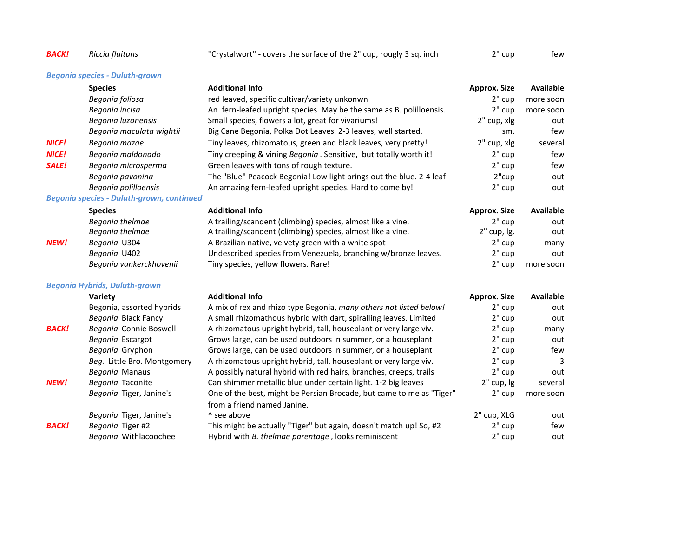| <b>BACK!</b> | Riccia fluitans                                  | "Crystalwort" - covers the surface of the 2" cup, rougly 3 sq. inch                                 | 2" cup              | few              |
|--------------|--------------------------------------------------|-----------------------------------------------------------------------------------------------------|---------------------|------------------|
|              | <b>Begonia species - Duluth-grown</b>            |                                                                                                     |                     |                  |
|              | <b>Species</b>                                   | <b>Additional Info</b>                                                                              | <b>Approx. Size</b> | <b>Available</b> |
|              | Begonia foliosa                                  | red leaved, specific cultivar/variety unkonwn                                                       | $2"$ cup            | more soon        |
|              | Begonia incisa                                   | An fern-leafed upright species. May be the same as B. polilloensis.                                 | $2"$ cup            | more soon        |
|              | Begonia luzonensis                               | Small species, flowers a lot, great for vivariums!                                                  | 2" cup, xlg         | out              |
|              | Begonia maculata wightii                         | Big Cane Begonia, Polka Dot Leaves. 2-3 leaves, well started.                                       | sm.                 | few              |
| <b>NICE!</b> | Begonia mazae                                    | Tiny leaves, rhizomatous, green and black leaves, very pretty!                                      | 2" cup, xlg         | several          |
| <b>NICE!</b> | Begonia maldonado                                | Tiny creeping & vining Begonia . Sensitive, but totally worth it!                                   | $2"$ cup            | few              |
| <b>SALE!</b> | Begonia microsperma                              | Green leaves with tons of rough texture.                                                            | $2"$ cup            | few              |
|              | Begonia pavonina                                 | The "Blue" Peacock Begonia! Low light brings out the blue. 2-4 leaf                                 | 2"cup               | out              |
|              | Begonia polilloensis                             | An amazing fern-leafed upright species. Hard to come by!                                            | $2"$ cup            | out              |
|              | <b>Begonia species - Duluth-grown, continued</b> |                                                                                                     |                     |                  |
|              | <b>Species</b>                                   | <b>Additional Info</b>                                                                              | <b>Approx. Size</b> | <b>Available</b> |
|              | Begonia thelmae                                  | A trailing/scandent (climbing) species, almost like a vine.                                         | $2"$ cup            | out              |
|              | Begonia thelmae                                  | A trailing/scandent (climbing) species, almost like a vine.                                         | 2" cup, lg.         | out              |
| <b>NEW!</b>  | Begonia U304                                     | A Brazilian native, velvety green with a white spot                                                 | $2"$ cup            | many             |
|              | Begonia U402                                     | Undescribed species from Venezuela, branching w/bronze leaves.                                      | $2"$ cup            | out              |
|              | Begonia vankerckhovenii                          | Tiny species, yellow flowers. Rare!                                                                 | 2" cup              | more soon        |
|              | <b>Begonia Hybrids, Duluth-grown</b>             |                                                                                                     |                     |                  |
|              | Variety                                          | <b>Additional Info</b>                                                                              | <b>Approx. Size</b> | <b>Available</b> |
|              | Begonia, assorted hybrids                        | A mix of rex and rhizo type Begonia, many others not listed below!                                  | $2"$ cup            | out              |
|              | Begonia Black Fancy                              | A small rhizomathous hybrid with dart, spiralling leaves. Limited                                   | 2" cup              | out              |
| <b>BACK!</b> | Begonia Connie Boswell                           | A rhizomatous upright hybrid, tall, houseplant or very large viv.                                   | 2" cup              | many             |
|              | Begonia Escargot                                 | Grows large, can be used outdoors in summer, or a houseplant                                        | $2"$ cup            | out              |
|              | Begonia Gryphon                                  | Grows large, can be used outdoors in summer, or a houseplant                                        | $2"$ cup            | few              |
|              | Beg. Little Bro. Montgomery                      | A rhizomatous upright hybrid, tall, houseplant or very large viv.                                   | $2"$ cup            | 3                |
|              | Begonia Manaus                                   | A possibly natural hybrid with red hairs, branches, creeps, trails                                  | $2"$ cup            | out              |
| <b>NEW!</b>  | Begonia Taconite                                 | Can shimmer metallic blue under certain light. 1-2 big leaves                                       | 2" cup, lg          | several          |
|              | Begonia Tiger, Janine's                          | One of the best, might be Persian Brocade, but came to me as "Tiger"<br>from a friend named Janine. | $2"$ cup            | more soon        |
|              | Begonia Tiger, Janine's                          | ^ see above                                                                                         | 2" cup, XLG         | out              |
| <b>BACK!</b> | Begonia Tiger #2                                 | This might be actually "Tiger" but again, doesn't match up! So, #2                                  | $2"$ cup            | few              |
|              | Begonia Withlacoochee                            | Hybrid with B. thelmae parentage, looks reminiscent                                                 | 2" cup              | out              |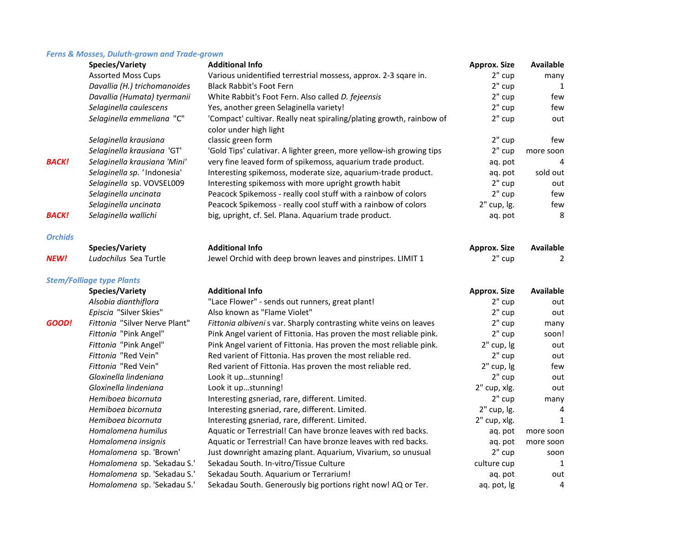## *Ferns & Mosses, Duluth-grown and Trade-grown*

|                | <b>Species/Variety</b>           | <b>Additional Info</b>                                               | <b>Approx. Size</b> | <b>Available</b> |
|----------------|----------------------------------|----------------------------------------------------------------------|---------------------|------------------|
|                | <b>Assorted Moss Cups</b>        | Various unidentified terrestrial mossess, approx. 2-3 sqare in.      | 2" cup              | many             |
|                | Davallia (H.) trichomanoides     | <b>Black Rabbit's Foot Fern</b>                                      | 2" cup              | 1                |
|                | Davallia (Humata) tyermanii      | White Rabbit's Foot Fern. Also called D. fejeensis                   | 2" cup              | few              |
|                | Selaginella caulescens           | Yes, another green Selaginella variety!                              | 2" cup              | few              |
|                | Selaginella emmeliana "C"        | 'Compact' cultivar. Really neat spiraling/plating growth, rainbow of | 2" cup              | out              |
|                |                                  | color under high light                                               |                     |                  |
|                | Selaginella krausiana            | classic green form                                                   | 2" cup              | few              |
|                | Selaginella krausiana 'GT'       | 'Gold Tips' culativar. A lighter green, more yellow-ish growing tips | 2" cup              | more soon        |
| <b>BACK!</b>   | Selaginella krausiana 'Mini'     | very fine leaved form of spikemoss, aquarium trade product.          | aq. pot             | 4                |
|                | Selaginella sp. 'Indonesia'      | Interesting spikemoss, moderate size, aquarium-trade product.        | ag. pot             | sold out         |
|                | Selaginella sp. VOVSEL009        | Interesting spikemoss with more upright growth habit                 | 2" cup              | out              |
|                | Selaginella uncinata             | Peacock Spikemoss - really cool stuff with a rainbow of colors       | 2" cup              | few              |
|                | Selaginella uncinata             | Peacock Spikemoss - really cool stuff with a rainbow of colors       | 2" cup, lg.         | few              |
| <b>BACK!</b>   | Selaginella wallichi             | big, upright, cf. Sel. Plana. Aquarium trade product.                | aq. pot             | 8                |
| <b>Orchids</b> |                                  |                                                                      |                     |                  |
|                | <b>Species/Variety</b>           | <b>Additional Info</b>                                               | <b>Approx. Size</b> | <b>Available</b> |
| <b>NEW!</b>    | Ludochilus Sea Turtle            | Jewel Orchid with deep brown leaves and pinstripes. LIMIT 1          | $2"$ cup            | 2                |
|                | <b>Stem/Folliage type Plants</b> |                                                                      |                     |                  |
|                | Species/Variety                  | <b>Additional Info</b>                                               | <b>Approx. Size</b> | <b>Available</b> |
|                | Alsobia dianthiflora             | "Lace Flower" - sends out runners, great plant!                      | 2" cup              | out              |
|                | Episcia "Silver Skies"           | Also known as "Flame Violet"                                         | 2" cup              | out              |
| GOOD!          | Fittonia "Silver Nerve Plant"    | Fittonia albiveni s var. Sharply contrasting white veins on leaves   | 2" cup              | many             |
|                | Fittonia "Pink Angel"            | Pink Angel varient of Fittonia. Has proven the most reliable pink.   | 2" cup              | soon!            |
|                | Fittonia "Pink Angel"            | Pink Angel varient of Fittonia. Has proven the most reliable pink.   | 2" cup, lg          | out              |
|                | Fittonia "Red Vein"              | Red varient of Fittonia. Has proven the most reliable red.           | 2" cup              | out              |
|                | Fittonia "Red Vein"              | Red varient of Fittonia. Has proven the most reliable red.           | 2" cup, lg          | few              |
|                | Gloxinella lindeniana            | Look it upstunning!                                                  | 2" cup              | out              |
|                | Gloxinella lindeniana            | Look it upstunning!                                                  | 2" cup, xlg.        | out              |
|                | Hemiboea bicornuta               | Interesting gsneriad, rare, different. Limited.                      | 2" cup              | many             |
|                | Hemiboea bicornuta               | Interesting gsneriad, rare, different. Limited.                      | 2" cup, lg.         | 4                |
|                | Hemiboea bicornuta               | Interesting gsneriad, rare, different. Limited.                      | 2" cup, xlg.        | $\mathbf{1}$     |
|                | Homalomena humilus               | Aquatic or Terrestrial! Can have bronze leaves with red backs.       | aq. pot             | more soon        |
|                | Homalomena insignis              | Aquatic or Terrestrial! Can have bronze leaves with red backs.       | aq. pot             | more soon        |
|                | Homalomena sp. 'Brown'           | Just downright amazing plant. Aquarium, Vivarium, so unusual         | 2" cup              | soon             |
|                | Homalomena sp. 'Sekadau S.'      | Sekadau South. In-vitro/Tissue Culture                               | culture cup         | 1                |
|                | Homalomena sp. 'Sekadau S.'      | Sekadau South. Aquarium or Terrarium!                                | aq. pot             | out              |
|                | Homalomena sp. 'Sekadau S.'      | Sekadau South. Generously big portions right now! AQ or Ter.         | aq. pot, Ig         | 4                |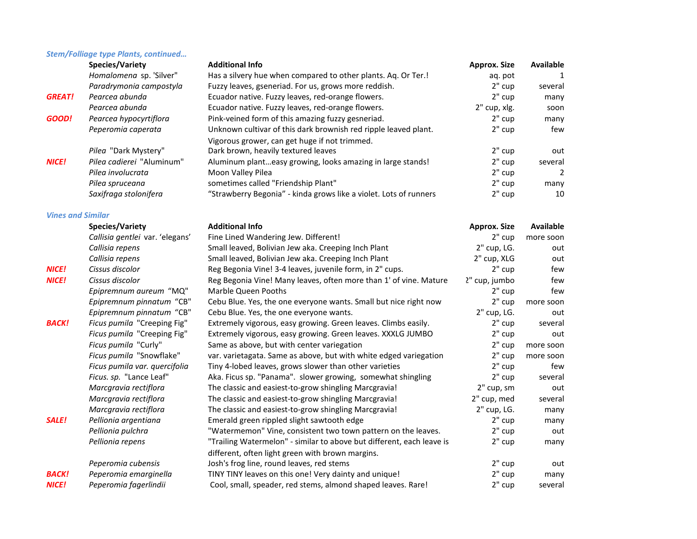## *Stem/Folliage type Plants, continued…*

|                          | <b>Species/Variety</b>           | <b>Additional Info</b>                                                | <b>Approx. Size</b> | Available        |
|--------------------------|----------------------------------|-----------------------------------------------------------------------|---------------------|------------------|
|                          | Homalomena sp. 'Silver"          | Has a silvery hue when compared to other plants. Aq. Or Ter.!         | aq. pot             | 1                |
|                          | Paradrymonia campostyla          | Fuzzy leaves, gseneriad. For us, grows more reddish.                  | 2" cup              | several          |
| <b>GREAT!</b>            | Pearcea abunda                   | Ecuador native. Fuzzy leaves, red-orange flowers.                     | 2" cup              | many             |
|                          | Pearcea abunda                   | Ecuador native. Fuzzy leaves, red-orange flowers.                     | 2" cup, xlg.        | soon             |
| GOOD!                    | Pearcea hypocyrtiflora           | Pink-veined form of this amazing fuzzy gesneriad.                     | 2" cup              | many             |
|                          | Peperomia caperata               | Unknown cultivar of this dark brownish red ripple leaved plant.       | $2"$ cup            | few              |
|                          |                                  | Vigorous grower, can get huge if not trimmed.                         |                     |                  |
|                          | Pilea "Dark Mystery"             | Dark brown, heavily textured leaves                                   | 2" cup              | out              |
| <b>NICE!</b>             | <i>Pilea cadierei</i> "Aluminum" | Aluminum planteasy growing, looks amazing in large stands!            | $2"$ cup            | several          |
|                          | Pilea involucrata                | Moon Valley Pilea                                                     | 2" cup              | $\overline{2}$   |
|                          | Pilea spruceana                  | sometimes called "Friendship Plant"                                   | 2" cup              | many             |
|                          | Saxifraga stolonifera            | "Strawberry Begonia" - kinda grows like a violet. Lots of runners     | 2" cup              | 10               |
| <b>Vines and Similar</b> |                                  |                                                                       |                     |                  |
|                          | Species/Variety                  | <b>Additional Info</b>                                                | <b>Approx. Size</b> | <b>Available</b> |
|                          | Callisia gentlei var. 'elegans'  | Fine Lined Wandering Jew. Different!                                  | 2" cup              | more soon        |
|                          | Callisia repens                  | Small leaved, Bolivian Jew aka. Creeping Inch Plant                   | 2" cup, LG.         | out              |
|                          | Callisia repens                  | Small leaved, Bolivian Jew aka. Creeping Inch Plant                   | 2" cup, XLG         | out              |
| <b>NICE!</b>             | Cissus discolor                  | Reg Begonia Vine! 3-4 leaves, juvenile form, in 2" cups.              | 2" cup              | few              |
| <b>NICE!</b>             | Cissus discolor                  | Reg Begonia Vine! Many leaves, often more than 1' of vine. Mature     | ?" cup, jumbo       | few              |
|                          | Epipremnum aureum "MQ"           | Marble Queen Pooths                                                   | $2"$ cup            | few              |
|                          | Epipremnum pinnatum "CB"         | Cebu Blue. Yes, the one everyone wants. Small but nice right now      | 2" cup              | more soon        |
|                          | Epipremnum pinnatum "CB"         | Cebu Blue. Yes, the one everyone wants.                               | 2" cup, LG.         | out              |
| <b>BACK!</b>             | Ficus pumila "Creeping Fig"      | Extremely vigorous, easy growing. Green leaves. Climbs easily.        | 2" cup              | several          |
|                          | Ficus pumila "Creeping Fig"      | Extremely vigorous, easy growing. Green leaves. XXXLG JUMBO           | 2" cup              | out              |
|                          | Ficus pumila "Curly"             | Same as above, but with center variegation                            | $2"$ cup            | more soon        |
|                          | Ficus pumila "Snowflake"         | var. varietagata. Same as above, but with white edged variegation     | 2" cup              | more soon        |
|                          | Ficus pumila var. quercifolia    | Tiny 4-lobed leaves, grows slower than other varieties                | 2" cup              | few              |
|                          | Ficus. sp. "Lance Leaf"          | Aka. Ficus sp. "Panama". slower growing, somewhat shingling           | 2" cup              | several          |
|                          | Marcgravia rectiflora            | The classic and easiest-to-grow shingling Marcgravia!                 | 2" cup, sm          | out              |
|                          | Marcgravia rectiflora            | The classic and easiest-to-grow shingling Marcgravia!                 | 2" cup, med         | several          |
|                          | Marcgravia rectiflora            | The classic and easiest-to-grow shingling Marcgravia!                 | 2" cup, LG.         | many             |
| <b>SALE!</b>             | Pellionia argentiana             | Emerald green rippled slight sawtooth edge                            | 2" cup              | many             |
|                          | Pellionia pulchra                | "Watermemon" Vine, consistent two town pattern on the leaves.         | 2" cup              | out              |
|                          | Pellionia repens                 | "Trailing Watermelon" - similar to above but different, each leave is | 2" cup              | many             |
|                          |                                  | different, often light green with brown margins.                      |                     |                  |
|                          | Peperomia cubensis               | Josh's frog line, round leaves, red stems                             | 2" cup              | out              |
| BACK!                    | Peperomia emarginella            | TINY TINY leaves on this one! Very dainty and unique!                 | 2" cup              | many             |
| <b>NICE!</b>             | Peperomia fagerlindii            | Cool, small, speader, red stems, almond shaped leaves. Rare!          | 2" cup              | several          |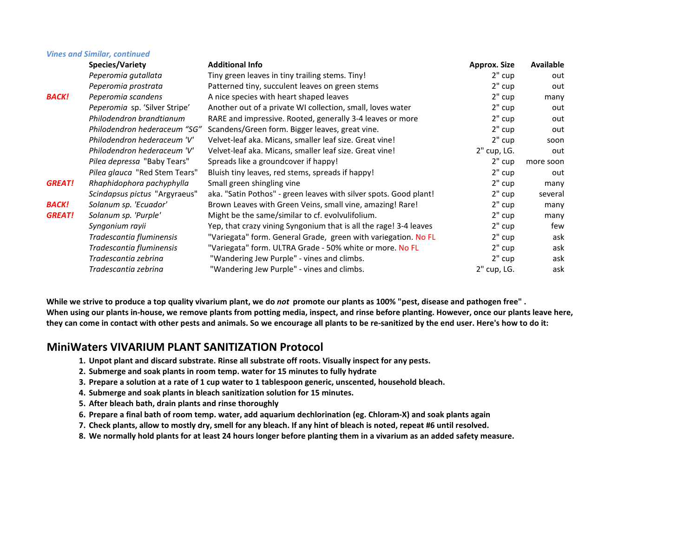|               | <b>Vines and Similar, continued</b> |                                                                   |                     |           |
|---------------|-------------------------------------|-------------------------------------------------------------------|---------------------|-----------|
|               | Species/Variety                     | <b>Additional Info</b>                                            | <b>Approx. Size</b> | Available |
|               | Peperomia gutallata                 | Tiny green leaves in tiny trailing stems. Tiny!                   | $2"$ cup            | out       |
|               | Peperomia prostrata                 | Patterned tiny, succulent leaves on green stems                   | $2"$ cup            | out       |
| <b>BACK!</b>  | Peperomia scandens                  | A nice species with heart shaped leaves                           | $2"$ cup            | many      |
|               | Peperomia sp. 'Silver Stripe'       | Another out of a private WI collection, small, loves water        | 2" cup              | out       |
|               | Philodendron brandtianum            | RARE and impressive. Rooted, generally 3-4 leaves or more         | 2" cup              | out       |
|               | Philodendron hederaceum "SG"        | Scandens/Green form. Bigger leaves, great vine.                   | 2" cup              | out       |
|               | Philodendron hederaceum 'V'         | Velvet-leaf aka. Micans, smaller leaf size. Great vine!           | 2" cup              | soon      |
|               | Philodendron hederaceum 'V'         | Velvet-leaf aka. Micans, smaller leaf size. Great vine!           | $2"$ cup, LG.       | out       |
|               | Pilea depressa "Baby Tears"         | Spreads like a groundcover if happy!                              | $2"$ cup            | more soon |
|               | Pilea glauca "Red Stem Tears"       | Bluish tiny leaves, red stems, spreads if happy!                  | 2" cup              | out       |
| <b>GREAT!</b> | Rhaphidophora pachyphylla           | Small green shingling vine                                        | $2"$ cup            | many      |
|               | Scindapsus pictus "Argyraeus"       | aka. "Satin Pothos" - green leaves with silver spots. Good plant! | $2"$ cup            | several   |
| <b>BACK!</b>  | Solanum sp. 'Ecuador'               | Brown Leaves with Green Veins, small vine, amazing! Rare!         | $2"$ cup            | many      |
| <b>GREAT!</b> | Solanum sp. 'Purple'                | Might be the same/similar to cf. evolvulifolium.                  | $2"$ cup            | many      |
|               | Syngonium rayii                     | Yep, that crazy vining Syngonium that is all the rage! 3-4 leaves | 2" cup              | few       |
|               | Tradescantia fluminensis            | "Variegata" form. General Grade, green with variegation. No FL    | 2" cup              | ask       |
|               | Tradescantia fluminensis            | "Variegata" form. ULTRA Grade - 50% white or more. No FL          | $2"$ cup            | ask       |
|               | Tradescantia zebrina                | "Wandering Jew Purple" - vines and climbs.                        | 2" cup              | ask       |
|               | Tradescantia zebrina                | "Wandering Jew Purple" - vines and climbs.                        | 2" cup, LG.         | ask       |

**While we strive to produce a top quality vivarium plant, we do** *not* **promote our plants as 100% "pest, disease and pathogen free" . When using our plants in-house, we remove plants from potting media, inspect, and rinse before planting. However, once our plants leave here, they can come in contact with other pests and animals. So we encourage all plants to be re-sanitized by the end user. Here's how to do it:**

## **MiniWaters VIVARIUM PLANT SANITIZATION Protocol**

- **1. Unpot plant and discard substrate. Rinse all substrate off roots. Visually inspect for any pests.**
- **2. Submerge and soak plants in room temp. water for 15 minutes to fully hydrate**
- **3. Prepare a solution at a rate of 1 cup water to 1 tablespoon generic, unscented, household bleach.**
- **4. Submerge and soak plants in bleach sanitization solution for 15 minutes.**
- **5. After bleach bath, drain plants and rinse thoroughly**
- **6. Prepare a final bath of room temp. water, add aquarium dechlorination (eg. Chloram-X) and soak plants again**
- **7. Check plants, allow to mostly dry, smell for any bleach. If any hint of bleach is noted, repeat #6 until resolved.**
- **8. We normally hold plants for at least 24 hours longer before planting them in a vivarium as an added safety measure.**